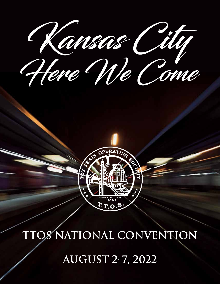Kansas City



# **OS NATIONAL CONVENTION**

**AUGUST 2-7, 2022**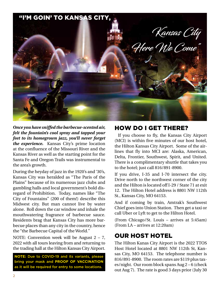

*Once you have sniffed the barbecue-scented air, felt the fountain's cool spray and tapped your feet to its homegrown jazz, you'll never forget the experience.* Kansas City's prime location at the confluence of the Missouri River and the Kansas River as well as the starting point for the Santa Fe and Oregon Trails was instrumental to the area's growth.

During the heyday of jazz in the 1920's and '30's, Kansas City was heralded as "The Paris of the Plains" because of its numerous jazz clubs and gambling halls and local government's bold disregard of Prohibition. Today, names like "The City of Fountains" (200 of them!) describe this Midwest city. But man cannot live by water alone. Roll down the car window and inhale the mouthwatering fragrance of barbecue sauce. Residents brag that Kansas City has more barbecue places than any city in the country, hence the "the Barbecue Capital of the World."

NOTE: Convention week will be August 2 – 7, 2022 with all tours leaving from and returning to the trading hall at the Hilton Kansas City Airport.

**NOTE:** Due to COVID-19 and its variants, please bring your mask and **PROOF OF VACCINATION** as it will be required for entry to some locations.

#### HOW DO I GET THERE?

 If you choose to fly, the Kansas City Airport (MCI) is within five minutes of our host hotel, the Hilton Kansas City Airport. Some of the airlines that fly into MCI are: Alaska, American, Delta, Frontier, Southwest, Spirit, and United. There is a complimentary shuttle that takes you to the hotel; just call 816/891-8900.

If you drive, I-35 and I-70 intersect the city. Drive north to the northwest corner of the city and the Hilton is located off I-29 / State 71 at exit 12. The Hilton Hotel address is 8801 NW 112th St., Kansas City, MO 64153.

And if coming by train, Amtrak's Southwest Chief goes into Union Station. Then get a taxi or call Uber or Lyft to get to the Hilton Hotel.

(From Chicago/St. Louis – arrives at 5:45am) (From LA – arrives at 12:20am)

# OUR HOST HOTEL

The Hilton Kanas City Airport is the 2022 TTOS Host Hotel located at 8801 NW 112th St, Kansas City, MO 64153. The telephone number is 816/891-8900. The room rates are \$119 plus taxes/night. Our room block spans Aug 2 – 6 (check out Aug 7). The rate is good 3 days prior (July 30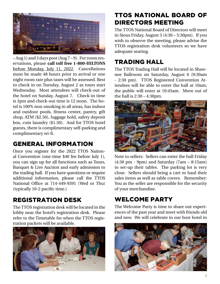

– Aug 1) and 3 days post (Aug 7 – 9). For room reservations, please **call toll free 1-800-HILTONS**  before Monday, July 11, 2022. Cancellations must be made 48 hours prior to arrival or one night room rate plus taxes will be assessed. Best to check in on Tuesday, August 2 as tours start Wednesday. Most attendees will check-out of the hotel on Sunday, August 7. Check-in time is 3pm and check-out time is 12 noon. The hotel is 100% non-smoking in all areas, has indoor and outdoor pools, fitness center, pantry, gift shop, ATM (\$2.50), luggage hold, safety deposit box, coin laundry (\$1.50). And for TTOS hotel guests, there is complimentary self-parking and complimentary wi-fi.

#### GENERAL INFORMATION

Once you register for the 2022 TTOS National Convention (one-time \$40 fee before July 1), you can sign up for all functions such as Tours, Banquet & Live Auction and early admission to the trading hall. If you have questions or require additional information, please call the TTOS National Office at 714-449-9391 (Wed or Thu) (typically 10-2 pacific time.)

#### REGISTRATION DESK

The TTOS registration desk will be located in the lobby near the hotel's registration desk. Please refer to the Timetable for when the TTOS registration packets will be available.



#### TTOS NATIONAL BOARD OF DIRECTORS MEETING

The TTOS National Board of Directors will meet in Sioux Friday, August 5 (4:30 – 5:30pm). If you wish to observe the meeting, please advise the TTOS registration desk volunteers so we have adequate seating.

### TRADING HALL

The TTOS Trading Hall will be located in Shawnee Ballroom on Saturday, August 6 (9:30am - 2:30 pm). TTOS Registered Convention Attendees will be able to enter the hall at 10am; the public will enter at 10:45am. Move out of the hall is 2:30 – 4:30pm.



Note to sellers: Sellers can enter the hall Friday (4:30 pm - 9pm) and Saturday (7am – 8:15am) to set-up their tables. The parking lot is very close. Sellers should bring a cart to haul their sales items as well as table covers. Remember: You as the seller are responsible for the security of your merchandise.

# WELCOME PARTY

The Welcome Party is time to share our experiences of the past year and meet with friends old and new. We will celebrate in our host hotel in

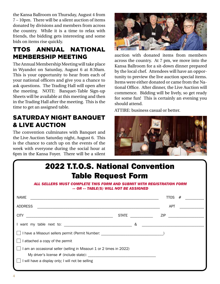the Kansa Ballroom on Thursday, August 4 from 7 – 10pm. There will be a silent auction of items donated by divisions and members from across the country. While it is a time to relax with friends, the bidding gets interesting and some bids on items rise quickly.

## TTOS ANNUAL NATIONAL MEMBERSHIP MEETING

The Annual Membership Meeting will take place in Wyandot on Saturday, August 6 at 8:30am. This is your opportunity to hear from each of your national officers and give you a chance to ask questions. The Trading Hall will open after the meeting. NOTE: Banquet-Table Sign-up Sheets will be available at this meeting and then in the Trading Hall after the meeting. This is the time to get an assigned table.

### SATURDAY NIGHT BANQUET & LIVE AUCTION

The convention culminates with Banquet and the Live Auction Saturday night, August 6. This is the chance to catch up on the events of the week with everyone during the social hour at 6pm in the Kansa Foyer. There will be a silent



auction with donated items from members across the country. At 7 pm, we move into the Kansa Ballroom for a sit-down dinner prepared by the local chef. Attendees will have an opportunity to preview the live auction special items. Items were either donated or came from the National Office. After dinner, the Live Auction will commence. Bidding will be lively, so get ready for some fun! This is certainly an evening you should attend.

ATTIRE: business casual or better.



| <b>2022 T.T.O.S. National Convention</b><br><b>Table Request Form</b><br>ALL SELLERS MUST COMPLETE THIS FORM AND SUBMIT WITH REGISTRATION FORM<br>-- OR -- TABLE(S) WILL NOT BE ASSIGNED |  |           |  |  |  |
|------------------------------------------------------------------------------------------------------------------------------------------------------------------------------------------|--|-----------|--|--|--|
| NAME<br><u> 1980 - Jan Barat, amerikan bernama di sebagai bernama dalam bernama dalam bernama dalam bernama dalam bernama</u>                                                            |  | $TIOS$ #  |  |  |  |
| <b>ADDRESS</b>                                                                                                                                                                           |  | APT       |  |  |  |
|                                                                                                                                                                                          |  | STATE ZIP |  |  |  |
| 1 want my table next to: $\infty$                                                                                                                                                        |  |           |  |  |  |
|                                                                                                                                                                                          |  |           |  |  |  |
| I attached a copy of the permit                                                                                                                                                          |  |           |  |  |  |
| I am an occasional seller (selling in Missouri 1 or 2 times in 2022)<br>My driver's license $#$ (include state):<br>I will have a display only; I will not be selling                    |  |           |  |  |  |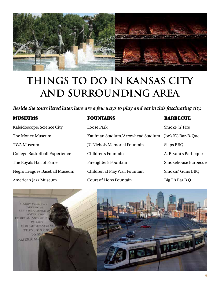

# **THINGS TO DO IN KANSAS CITY AND SURROUNDING AREA**

*Beside the tours listed later, here are a few ways to play and eat in this fascinating city.*

#### MUSEUMS FOUNTAINS BARBECUE

| Kaleidoscope/Science City     | Loose Park                        | Smoke 'n' Fire       |
|-------------------------------|-----------------------------------|----------------------|
| The Money Museum              | Kaufman Stadium/Arrowhead Stadium | Joe's KC Bar-B-Que   |
| <b>TWA Museum</b>             | JC Nichols Memorial Fountain      | Slaps BBQ            |
| College Basketball Experience | Children's Fountain               | A. Bryant's Barbeque |
| The Royals Hall of Fame       | Firefighter's Fountain            | Smokehouse Barbecue  |
| Negro Leagues Baseball Museum | Children at Play Wall Fountain    | Smokin' Guns BBQ     |
| American Jazz Museum          | <b>Court of Lions Fountain</b>    | Big T's Bar B Q      |

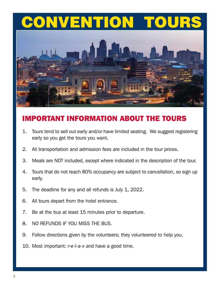# CONVENTION TOURS



# IMPORTANT INFORMATION ABOUT THE TOURS

- 1. Tours tend to sell out early and/or have limited seating. We suggest registering early so you get the tours you want.
- 2. All transportation and admission fees are included in the tour prices.
- 3. Meals are NOT included, except where indicated in the description of the tour.
- 4. Tours that do not reach 80% occupancy are subject to cancellation, so sign up early.
- 5. The deadline for any and all refunds is July 1, 2022.
- 6. All tours depart from the hotel entrance.
- 7. Be at the bus at least 15 minutes prior to departure.
- 8. NO REFUNDS IF YOU MISS THE BUS.
- 9. Follow directions given by the volunteers; they volunteered to help you.
- 10. Most important: *r-e-l-a-x* and have a good time.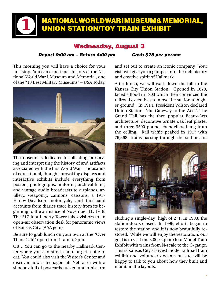### NATIONAL WORLD WAR I MUSEUM & MEMORIAL, UNION STATION/TOY TRAIN EXHIBIT

#### Wednesday, August 3

#### *Depart 9:00 am – Return 4:00 pm Cost: \$75 per person*

This morning you will have a choice for your first stop. You can experience history at the National World War I Museum and Memorial, one of the "10 Best Military Museums" – USA Today.

1



The museum is dedicated to collecting, preserving and interpreting the history of and artifacts associated with the first World War. Thousands of educational, thought-provoking displays and interactive exhibits include everything from posters, photographs, uniforms, archival films, and vintage audio broadcasts to airplanes, artillery, weaponry, cannons, caissons, a 1917 Harley-Davidson motorcycle, and first-hand accounts from diaries trace history from its beginning to the armistice of November 11, 1918. The 217-foot Liberty Tower takes visitors to an open-air observation desk for panoramic views of Kansas City. (AAA gem)

Be sure to grab lunch on your own at the "Over There Café" open from 11am to 2pm.

OR… You can go to the nearby Hallmark Center where you can stroll, shop, or get a bite to eat. You could also visit the Visitor's Center and discover how a teenager left Nebraska with a shoebox full of postcards tucked under his arm

and set out to create an iconic company. Your visit will give you a glimpse into the rich history and creative spirit of Hallmark.

After lunch, we will walk down the hill to the Kansas City Union Station. Opened in 1878, faced a flood in 1903 which then convinced the railroad executives to move the station to higher ground. In 1914, President Wilson declared Union Station "the Gateway to the West". The Grand Hall has the then popular Beaux-Arts architecture, decorative ornate oak leaf plaster and three 3500-pound chandeliers hang from the ceiling. Rail traffic peaked in 1917 with 79,368 trains passing through the station, in-



cluding a single-day high of 271. In 1983, the station doors closed. In 1996, efforts began to restore the station and it is now beautifully restored. While we will enjoy the restoration, our goal is to visit the 8.000 square foot Model Train Exhibit with trains from N-scale to the G-gauge. This is Kansas City's largest model railroad train exhibit and volunteer docents on site will be happy to talk to you about how they built and maintain the layouts.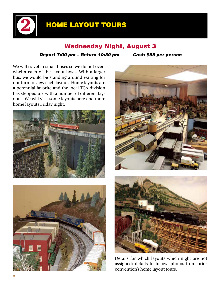# HOME LAYOUT TOURS

#### Wednesday Night, August 3

#### *Depart 7:00 pm – Return 10:30 pm Cost: \$55 per person*

We will travel in small buses so we do not overwhelm each of the layout hosts. With a larger bus, we would be standing around waiting for our turn to view each layout. Home layouts are a perennial favorite and the local TCA division has stepped up with a number of different layouts. We will visit some layouts here and more home layouts Friday night.

2









Details for which layouts which night are not assigned; details to follow; photos from prior convention's home layout tours.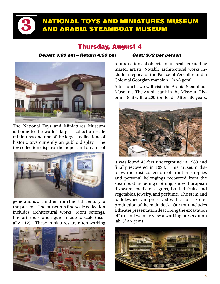3

## NATIONAL TOYS AND MINIATURES MUSEUM AND ARABIA STEAMBOAT MUSEUM

#### Thursday, August 4

#### *Depart 9:00 am – Return 4:30 pm Cost: \$72 per person*



The National Toys and Miniatures Museum is home to the world's largest collection scale miniatures and one of the largest collections of historic toys currently on public display. The toy collection displays the hopes and dreams of



generations of children from the 18th century to the present. The museum's fine scale collection includes architectural works, room settings, fine art, tools, and figures made to scale (usually 1:12). These miniatures are often working



reproductions of objects in full scale created by master artists. Notable architectural works include a replica of the Palace of Versailles and a Colonial Georgian mansion. (AAA gem)

After lunch, we will visit the Arabia Steamboat Museum. The Arabia sank in the Missouri River in 1856 with a 200-ton load. After 130 years,



it was found 45-feet underground in 1988 and finally recovered in 1998. This museum displays the vast collection of frontier supplies and personal belongings recovered from the steamboat including clothing, shoes, European dishware, medicines, guns, bottled fruits and vegetables, jewelry, and perfume. The stem and paddlewheel are preserved with a full-size reproduction of the main deck. Our tour includes a theater presentation describing the excavation effort, and we may view a working preservation lab. (AAA gem)

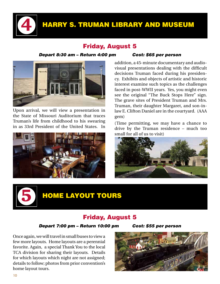

# HARRY S. TRUMAN LIBRARY AND MUSEUM

#### Friday, August 5

#### *Depart 8:30 am – Return 4:00 pm Cost: \$65 per person*



Upon arrival, we will view a presentation in the State of Missouri Auditorium that traces Truman's life from childhood to his swearing in as 33rd President of the United States. In



addition, a 45-minute documentary and audiovisual presentations dealing with the difficult decisions Truman faced during his presidency. Exhibits and objects of artistic and historic interest examine such topics as the challenges faced in post-WWII years. Yes, you might even see the original "The Buck Stops Here" sign. The grave sites of President Truman and Mrs. Truman, their daughter Margaret, and son-inlaw E. Clifton Daniel are in the courtyard. (AAA gem)

(Time permitting, we may have a chance to drive by the Truman residence – much too small for all of us to visit)





# **HOME LAYOUT TOURS**

#### Friday, August 5

#### *Depart 7:00 pm – Return 10:00 pm Cost: \$55 per person*

Once again, we will travel in small buses to view a few more layouts. Home layouts are a perennial favorite. Again, a special Thank You to the local TCA division for sharing their layouts. Details for which layouts which night are not assigned; details to follow; photos from prior convention's home layout tours.

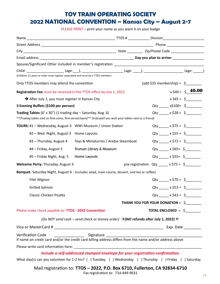#### **TOY TRAIN OPERATING SOCIETY 2022 NATIONAL CONVENTION – Kansas City – August 2-7**

*PLEASE PRINT* – print your name as you want it on your badge

| Child: _____________________(age:___), _____________________(age: ____), ____________________(age: _____)<br>(Children 21 years or older must register separately and must be a TTOS member)                             |                                                                                                           |  |                                                  |                                   |                        |  |
|--------------------------------------------------------------------------------------------------------------------------------------------------------------------------------------------------------------------------|-----------------------------------------------------------------------------------------------------------|--|--------------------------------------------------|-----------------------------------|------------------------|--|
| Only TTOS members may attend the convention                                                                                                                                                                              |                                                                                                           |  |                                                  |                                   |                        |  |
| Registration Fee must be received in the TTOS office by July 1, 2022                                                                                                                                                     |                                                                                                           |  |                                                  |                                   | $x \xi 40 = \xi$ 40.00 |  |
| $\rightarrow$ After July 1, you must register in Kansas City                                                                                                                                                             |                                                                                                           |  |                                                  |                                   | $x $45 = $$            |  |
| 3 Evening Buffets (\$100 per person)                                                                                                                                                                                     |                                                                                                           |  |                                                  | Qty ______ x\$100= \$_______      |                        |  |
| Qty _____ x \$28 = \$_______<br><b>Trading Tables</b> (6' x 30") (1 trading day $-$ Saturday, Aug. 6)<br>** (Trading tables sold on first-come, first-served basis)** (Indicateif you wish your tables next to a friend) |                                                                                                           |  |                                                  |                                   |                        |  |
| TOURS: #1 - Wednesday, August 3 WWI Museum / Union Station                                                                                                                                                               |                                                                                                           |  |                                                  | Qty ______ x \$75 = $$$           |                        |  |
| #2 - Wed. Night, August 3 Home Layouts                                                                                                                                                                                   |                                                                                                           |  |                                                  | $Qty$ x \$55 = \$                 |                        |  |
| #3 - Thursday, August 4                                                                                                                                                                                                  | Toys & Miniaturres / Arabia Steamboat                                                                     |  |                                                  | Qty ______ x \$72 = $\frac{6}{7}$ |                        |  |
| #4 - Friday, August 5                                                                                                                                                                                                    | Truman Library & Museum                                                                                   |  |                                                  | Qty ______ x \$65= \$________     |                        |  |
| #5 - Friday Night, Aug. 5                                                                                                                                                                                                | Home Layouts                                                                                              |  |                                                  | $Qty$ x \$55= \$                  |                        |  |
| Welcome Party: Thursday, August 4                                                                                                                                                                                        |                                                                                                           |  | pre-registration Qty _____ x \$75 = \$________   |                                   |                        |  |
| Banquet, Saturday Night, August 6 - (includes salad, main course, dessert, and tea or coffee)                                                                                                                            |                                                                                                           |  |                                                  |                                   |                        |  |
| Filet Mignon                                                                                                                                                                                                             |                                                                                                           |  |                                                  | Qty _____ x \$70 = $$$            |                        |  |
| <b>Grilled Salmon</b>                                                                                                                                                                                                    |                                                                                                           |  |                                                  | Qty _____ x \$53 = \$_______      |                        |  |
| Classic Chicken Picatta                                                                                                                                                                                                  |                                                                                                           |  |                                                  | Qty ______ x \$43 = $\frac{6}{2}$ |                        |  |
|                                                                                                                                                                                                                          |                                                                                                           |  | THANK YOU FOR YOUR DONATION = \$                 |                                   |                        |  |
| Please make check payable to: TTOS - 2022 Convention                                                                                                                                                                     |                                                                                                           |  | <b>TOTAL ENCLOSED = <math>\frac{6}{2}</math></b> |                                   |                        |  |
|                                                                                                                                                                                                                          | (Do NOT send cash – send check or money order) $\rightarrow$ (NO refunds after July 1, 2022) $\leftarrow$ |  |                                                  |                                   |                        |  |
|                                                                                                                                                                                                                          |                                                                                                           |  |                                                  |                                   |                        |  |
| Verification Code<br>If name on credit card and/or the credit card billing address differs from the name and/or address above                                                                                            |                                                                                                           |  |                                                  |                                   |                        |  |
|                                                                                                                                                                                                                          |                                                                                                           |  |                                                  |                                   |                        |  |
| Include a self-addressed stamped envelope for your registration confirmation.                                                                                                                                            |                                                                                                           |  |                                                  |                                   |                        |  |
| What day(s) can you volunteer for 1-2 hrs? () Tuesday () Wednesday () Thursday () Friday () Saturday                                                                                                                     |                                                                                                           |  |                                                  |                                   |                        |  |

Mail registration to: **TTOS – 2022, P.O. Box 6710, Fullerton, CA 92834-6710**

Fax registration to: 714-449-9631